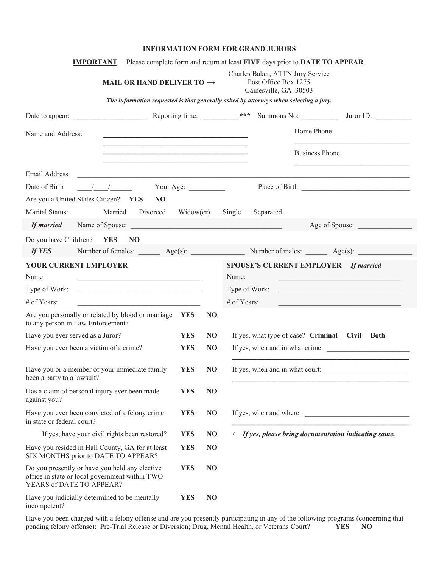## **INFORMATION FORM FOR GRAND JURORS**

| <b>IMPORTANT</b>                                                                                                             |                                                                                                                                                                                                                               |            |                | Please complete form and return at least FIVE days prior to DATE TO APPEAR.                                                   |
|------------------------------------------------------------------------------------------------------------------------------|-------------------------------------------------------------------------------------------------------------------------------------------------------------------------------------------------------------------------------|------------|----------------|-------------------------------------------------------------------------------------------------------------------------------|
|                                                                                                                              | MAIL OR HAND DELIVER TO $\rightarrow$                                                                                                                                                                                         |            |                | Charles Baker, ATTN Jury Service<br>Post Office Box 1275<br>Gainesville, GA 30503                                             |
|                                                                                                                              |                                                                                                                                                                                                                               |            |                | The information requested is that generally asked by attorneys when selecting a jury.                                         |
| Date to appear:                                                                                                              |                                                                                                                                                                                                                               |            |                | Reporting time: ___________ ***<br>Summons No:<br>Juror ID:                                                                   |
| Name and Address:                                                                                                            | the control of the control of the control of the control of the control of the control of the control of the control of the control of the control of the control of the control of the control of the control of the control |            |                | Home Phone                                                                                                                    |
|                                                                                                                              | <u> 1989 - Jan James James Barnett, amerikan bestein den stad in der stad in der stad in der stad in der stad in</u><br><u> 1989 - Johann Stoff, amerikansk politiker (d. 1989)</u>                                           |            |                | <b>Business Phone</b>                                                                                                         |
| Email Address                                                                                                                |                                                                                                                                                                                                                               |            |                |                                                                                                                               |
| Date of Birth                                                                                                                | $\sqrt{2}$ $\sqrt{2}$ Your Age:                                                                                                                                                                                               |            |                |                                                                                                                               |
| Are you a United States Citizen? YES                                                                                         | N <sub>O</sub>                                                                                                                                                                                                                |            |                |                                                                                                                               |
| Marital Status:                                                                                                              | Married<br>Divorced                                                                                                                                                                                                           | Window(er) |                | Single<br>Separated                                                                                                           |
|                                                                                                                              |                                                                                                                                                                                                                               |            |                | Age of Spouse:                                                                                                                |
| Do you have Children?                                                                                                        | <b>YES</b><br>NO <sub>1</sub>                                                                                                                                                                                                 |            |                |                                                                                                                               |
| If YES                                                                                                                       |                                                                                                                                                                                                                               |            |                | Number of females: Age(s): Age(s): Number of males: Age(s):                                                                   |
| YOUR CURRENT EMPLOYER                                                                                                        |                                                                                                                                                                                                                               |            |                | <b>SPOUSE'S CURRENT EMPLOYER</b><br><b>If married</b>                                                                         |
| Name:                                                                                                                        |                                                                                                                                                                                                                               |            |                | Name:<br><u> 1989 - Johann John Stone, mars eta bainar eta bainar eta baina eta baina eta baina eta baina eta baina eta b</u> |
| Type of Work:                                                                                                                |                                                                                                                                                                                                                               |            |                | Type of Work:                                                                                                                 |
| # of Years:                                                                                                                  |                                                                                                                                                                                                                               |            |                | $#$ of Years:<br><u> 1980 - Johann Barbara, martxa alemaniar arg</u>                                                          |
| Are you personally or related by blood or marriage<br>to any person in Law Enforcement?                                      |                                                                                                                                                                                                                               | <b>YES</b> | N <sub>O</sub> |                                                                                                                               |
| Have you ever served as a Juror?                                                                                             |                                                                                                                                                                                                                               | <b>YES</b> | N <sub>O</sub> | If yes, what type of case? Criminal Civil Both                                                                                |
| Have you ever been a victim of a crime?                                                                                      |                                                                                                                                                                                                                               | <b>YES</b> | N <sub>O</sub> | If yes, when and in what crime:                                                                                               |
| Have you or a member of your immediate family<br>been a party to a lawsuit?                                                  |                                                                                                                                                                                                                               | <b>YES</b> | N <sub>O</sub> | If yes, when and in what court:                                                                                               |
| Has a claim of personal injury ever been made<br>against you?                                                                |                                                                                                                                                                                                                               | <b>YES</b> | N <sub>O</sub> |                                                                                                                               |
| Have you ever been convicted of a felony crime<br>in state or federal court?                                                 |                                                                                                                                                                                                                               | <b>YES</b> | N <sub>O</sub> | If yes, when and where:                                                                                                       |
| If yes, have your civil rights been restored?                                                                                |                                                                                                                                                                                                                               | <b>YES</b> | N <sub>O</sub> | $\leftarrow$ If yes, please bring documentation indicating same.                                                              |
| Have you resided in Hall County, GA for at least<br>SIX MONTHS prior to DATE TO APPEAR?                                      |                                                                                                                                                                                                                               | <b>YES</b> | N <sub>O</sub> |                                                                                                                               |
| Do you presently or have you held any elective<br>office in state or local government within TWO<br>YEARS of DATE TO APPEAR? |                                                                                                                                                                                                                               | <b>YES</b> | N <sub>O</sub> |                                                                                                                               |
| Have you judicially determined to be mentally<br>incompetent?                                                                |                                                                                                                                                                                                                               | <b>YES</b> | N <sub>O</sub> |                                                                                                                               |

Have you been charged with a felony offense and are you presently participating in any of the following programs (concerning that pending felony offense): Pre-Trial Release or Diversion; Drug, Mental Health, or Veterans Court? **YES NO**